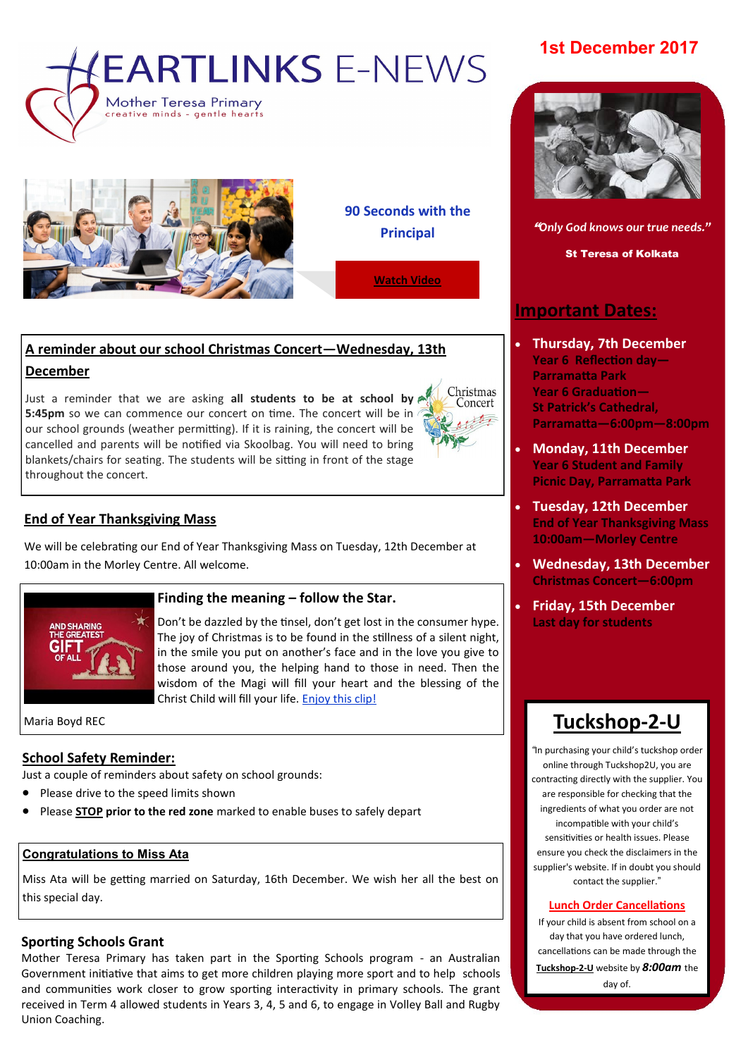



**90 Seconds with the Principal**

**[Watch Video](https://www.facebook.com/plugins/video.php?href=https%3A%2F%2Fwww.facebook.com%2FMother.Teresa.Primary%2Fvideos%2F1569858919763271%2F&show_text=0&width=560)**

Christmas Concert

# **A reminder about our school Christmas Concert—Wednesday, 13th December**

Just a reminder that we are asking **all students to be at school by 5:45pm** so we can commence our concert on time. The concert will be in our school grounds (weather permitting). If it is raining, the concert will be cancelled and parents will be notified via Skoolbag. You will need to bring blankets/chairs for seating. The students will be sitting in front of the stage throughout the concert.

# **End of Year Thanksgiving Mass**

We will be celebrating our End of Year Thanksgiving Mass on Tuesday, 12th December at 10:00am in the Morley Centre. All welcome.



#### **Finding the meaning – follow the Star.**

Don't be dazzled by the tinsel, don't get lost in the consumer hype. The joy of Christmas is to be found in the stillness of a silent night, in the smile you put on another's face and in the love you give to those around you, the helping hand to those in need. Then the wisdom of the Magi will fill your heart and the blessing of the Christ Child will fill your life. [Enjoy this clip!](https://www.youtube.com/watch?v=QSsMq6UXXwo)

Maria Boyd REC

## **School Safety Reminder:**

Just a couple of reminders about safety on school grounds:

- Please drive to the speed limits shown
- Please **STOP prior to the red zone** marked to enable buses to safely depart

# **Congratulations to Miss Ata**

Miss Ata will be getting married on Saturday, 16th December. We wish her all the best on this special day.

# **Sporting Schools Grant**

Mother Teresa Primary has taken part in the Sporting Schools program - an Australian Government initiative that aims to get more children playing more sport and to help schools and communities work closer to grow sporting interactivity in primary schools. The grant received in Term 4 allowed students in Years 3, 4, 5 and 6, to engage in Volley Ball and Rugby Union Coaching.

# **1st December 2017**



**N E W S L E T T E R D A T E** "*Only God knows our true needs."*

St Teresa of Kolkata

# **Important Dates:**

- **Thursday, 7th December Year 6 Reflection day— Parramatta Park Year 6 Graduation— St Patrick's Cathedral, Parramatta—6:00pm—8:00pm**
- **Monday, 11th December Year 6 Student and Family Picnic Day, Parramatta Park**
- **Tuesday, 12th December End of Year Thanksgiving Mass 10:00am—Morley Centre**
- **Wednesday, 13th December Christmas Concert—6:00pm**
- **Friday, 15th December Last day for students**

# **[Tuckshop](https://tuckshop2u.com.au/)-2-U**

*"*In purchasing your child's tuckshop order online through Tuckshop2U, you are contracting directly with the supplier. You are responsible for checking that the ingredients of what you order are not incompatible with your child's sensitivities or health issues. Please ensure you check the disclaimers in the supplier's website. If in doubt you should contact the supplier."

#### **Lunch Order Cancellations**

If your child is absent from school on a day that you have ordered lunch, cancellations can be made through the **[Tuckshop](https://tuckshop2u.com.au/pages/cancel-lunch)-2-U** website by *8:00am* the day of.